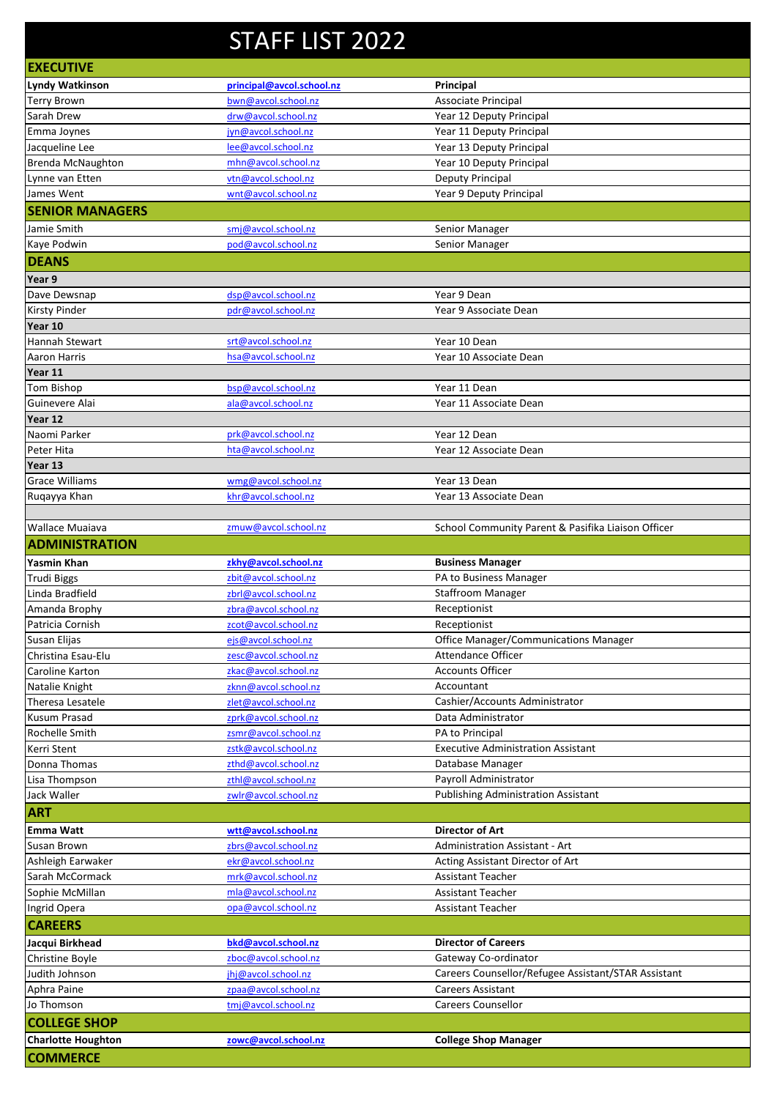## STAFF LIST 2022

|                                              | JIMII LIJI ZUZZ           |                                                     |
|----------------------------------------------|---------------------------|-----------------------------------------------------|
| <b>EXECUTIVE</b>                             |                           |                                                     |
| Lyndy Watkinson                              | principal@avcol.school.nz | Principal                                           |
| <b>Terry Brown</b>                           | bwn@avcol.school.nz       | Associate Principal                                 |
| Sarah Drew                                   | drw@avcol.school.nz       | Year 12 Deputy Principal                            |
| Emma Joynes                                  | jyn@avcol.school.nz       | Year 11 Deputy Principal                            |
| Jacqueline Lee                               | lee@avcol.school.nz       | Year 13 Deputy Principal                            |
| <b>Brenda McNaughton</b>                     | mhn@avcol.school.nz       | Year 10 Deputy Principal                            |
| Lynne van Etten                              | vtn@avcol.school.nz       | Deputy Principal                                    |
| James Went                                   | wnt@avcol.school.nz       | Year 9 Deputy Principal                             |
| <b>SENIOR MANAGERS</b>                       |                           |                                                     |
| Jamie Smith                                  | smj@avcol.school.nz       | Senior Manager                                      |
| Kaye Podwin                                  | pod@avcol.school.nz       | Senior Manager                                      |
| <b>DEANS</b>                                 |                           |                                                     |
| Year 9                                       |                           |                                                     |
| Dave Dewsnap                                 | dsp@avcol.school.nz       | Year 9 Dean                                         |
| Kirsty Pinder                                | pdr@avcol.school.nz       | Year 9 Associate Dean                               |
| Year 10                                      |                           |                                                     |
| Hannah Stewart                               | srt@avcol.school.nz       | Year 10 Dean                                        |
| Aaron Harris                                 | hsa@avcol.school.nz       | Year 10 Associate Dean                              |
| Year 11                                      |                           |                                                     |
| <b>Tom Bishop</b>                            | bsp@avcol.school.nz       | Year 11 Dean                                        |
| Guinevere Alai                               | ala@avcol.school.nz       | Year 11 Associate Dean                              |
| Year 12                                      |                           |                                                     |
| Naomi Parker                                 | prk@avcol.school.nz       | Year 12 Dean                                        |
| Peter Hita                                   | hta@avcol.school.nz       | Year 12 Associate Dean                              |
| Year 13                                      |                           |                                                     |
| <b>Grace Williams</b>                        | wmg@avcol.school.nz       | Year 13 Dean                                        |
| Ruqayya Khan                                 | khr@avcol.school.nz       | Year 13 Associate Dean                              |
|                                              |                           |                                                     |
| Wallace Muaiava                              | zmuw@avcol.school.nz      | School Community Parent & Pasifika Liaison Officer  |
| <b>ADMINISTRATION</b>                        |                           |                                                     |
| Yasmin Khan                                  | zkhy@avcol.school.nz      | <b>Business Manager</b>                             |
|                                              |                           |                                                     |
| <b>Trudi Biggs</b>                           | zbit@avcol.school.nz      | PA to Business Manager                              |
| Linda Bradfield                              | zbrl@avcol.school.nz      | <b>Staffroom Manager</b>                            |
| Amanda Brophy                                | zbra@avcol.school.nz      | Receptionist                                        |
| Patricia Cornish                             | zcot@avcol.school.nz      | Receptionist                                        |
| Susan Elijas                                 | ejs@avcol.school.nz       | Office Manager/Communications Manager               |
| Christina Esau-Elu                           | zesc@avcol.school.nz      | Attendance Officer                                  |
| Caroline Karton                              | zkac@avcol.school.nz      | <b>Accounts Officer</b>                             |
| Natalie Knight                               | zknn@avcol.school.nz      | Accountant                                          |
| Theresa Lesatele                             | zlet@avcol.school.nz      | Cashier/Accounts Administrator                      |
| Kusum Prasad                                 | zprk@avcol.school.nz      | Data Administrator                                  |
| Rochelle Smith                               | zsmr@avcol.school.nz      | PA to Principal                                     |
| Kerri Stent                                  | zstk@avcol.school.nz      | <b>Executive Administration Assistant</b>           |
| Donna Thomas                                 | zthd@avcol.school.nz      | Database Manager                                    |
| Lisa Thompson                                | zthl@avcol.school.nz      | Payroll Administrator                               |
| Jack Waller                                  | zwlr@avcol.school.nz      | <b>Publishing Administration Assistant</b>          |
| <b>ART</b>                                   |                           |                                                     |
| Emma Watt                                    | wtt@avcol.school.nz       | <b>Director of Art</b>                              |
| Susan Brown                                  | zbrs@avcol.school.nz      | Administration Assistant - Art                      |
| Ashleigh Earwaker                            | ekr@avcol.school.nz       | Acting Assistant Director of Art                    |
| Sarah McCormack                              | mrk@avcol.school.nz       | <b>Assistant Teacher</b>                            |
| Sophie McMillan                              | mla@avcol.school.nz       | <b>Assistant Teacher</b>                            |
| Ingrid Opera                                 | opa@avcol.school.nz       | <b>Assistant Teacher</b>                            |
| <b>CAREERS</b>                               |                           |                                                     |
| Jacqui Birkhead                              | bkd@avcol.school.nz       | <b>Director of Careers</b>                          |
| Christine Boyle                              | zboc@avcol.school.nz      | Gateway Co-ordinator                                |
| Judith Johnson                               | jhj@avcol.school.nz       | Careers Counsellor/Refugee Assistant/STAR Assistant |
| Aphra Paine                                  | zpaa@avcol.school.nz      | <b>Careers Assistant</b>                            |
| Jo Thomson                                   | tmj@avcol.school.nz       | <b>Careers Counsellor</b>                           |
| <b>COLLEGE SHOP</b>                          |                           |                                                     |
| <b>Charlotte Houghton</b><br><b>COMMERCE</b> | zowc@avcol.school.nz      | <b>College Shop Manager</b>                         |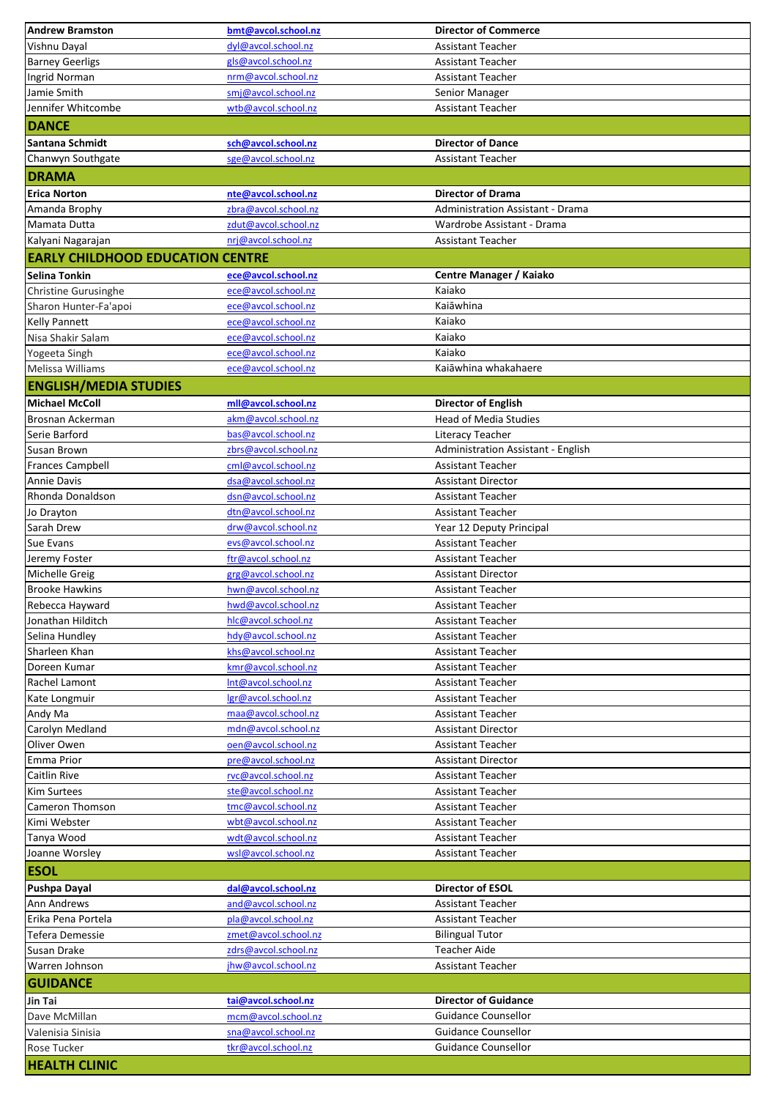| <b>Andrew Bramston</b>                  | bmt@avcol.school.nz                        | <b>Director of Commerce</b>                           |
|-----------------------------------------|--------------------------------------------|-------------------------------------------------------|
| Vishnu Dayal                            | dyl@avcol.school.nz                        | Assistant Teacher                                     |
| <b>Barney Geerligs</b>                  | gls@avcol.school.nz                        | <b>Assistant Teacher</b>                              |
| Ingrid Norman                           | nrm@avcol.school.nz                        | Assistant Teacher                                     |
| Jamie Smith                             | smj@avcol.school.nz                        | Senior Manager                                        |
| Jennifer Whitcombe                      | wtb@avcol.school.nz                        | Assistant Teacher                                     |
| <b>DANCE</b>                            |                                            |                                                       |
| Santana Schmidt                         | sch@avcol.school.nz                        | <b>Director of Dance</b>                              |
| Chanwyn Southgate                       | sge@avcol.school.nz                        | Assistant Teacher                                     |
| <b>DRAMA</b>                            |                                            |                                                       |
| <b>Erica Norton</b>                     | nte@avcol.school.nz                        | <b>Director of Drama</b>                              |
| Amanda Brophy                           | zbra@avcol.school.nz                       | <b>Administration Assistant - Drama</b>               |
| Mamata Dutta                            | zdut@avcol.school.nz                       | Wardrobe Assistant - Drama                            |
| Kalyani Nagarajan                       | nrj@avcol.school.nz                        | <b>Assistant Teacher</b>                              |
| <b>EARLY CHILDHOOD EDUCATION CENTRE</b> |                                            |                                                       |
| Selina Tonkin                           | ece@avcol.school.nz                        | <b>Centre Manager / Kaiako</b>                        |
| Christine Gurusinghe                    | ece@aycol.school.nz                        | Kaiako                                                |
| Sharon Hunter-Fa'apoi                   | ece@avcol.school.nz                        | Kaiāwhina                                             |
| <b>Kelly Pannett</b>                    | ece@avcol.school.nz                        | Kaiako                                                |
| Nisa Shakir Salam                       | ece@avcol.school.nz                        | Kaiako                                                |
| Yogeeta Singh                           | ece@aycol.school.nz                        | Kaiako                                                |
| Melissa Williams                        | ece@avcol.school.nz                        | Kaiāwhina whakahaere                                  |
| <b>ENGLISH/MEDIA STUDIES</b>            |                                            |                                                       |
| <b>Michael McColl</b>                   | mll@avcol.school.nz                        | <b>Director of English</b>                            |
| Brosnan Ackerman                        | akm@avcol.school.nz                        | <b>Head of Media Studies</b>                          |
| Serie Barford                           | bas@avcol.school.nz                        | Literacy Teacher                                      |
| Susan Brown                             | zbrs@avcol.school.nz                       | Administration Assistant - English                    |
| <b>Frances Campbell</b>                 | cml@avcol.school.nz                        | Assistant Teacher                                     |
| <b>Annie Davis</b><br>Rhonda Donaldson  | dsa@avcol.school.nz<br>dsn@avcol.school.nz | <b>Assistant Director</b><br>Assistant Teacher        |
| Jo Drayton                              | dtn@avcol.school.nz                        | <b>Assistant Teacher</b>                              |
| Sarah Drew                              | drw@avcol.school.nz                        | Year 12 Deputy Principal                              |
| Sue Evans                               | evs@avcol.school.nz                        | Assistant Teacher                                     |
| Jeremy Foster                           | ftr@avcol.school.nz                        | <b>Assistant Teacher</b>                              |
| Michelle Greig                          | grg@avcol.school.nz                        | <b>Assistant Director</b>                             |
| <b>Brooke Hawkins</b>                   | hwn@avcol.school.nz                        | Assistant Teacher                                     |
| Rebecca Hayward                         | hwd@aycol.school.nz                        | Assistant Teacher                                     |
| Jonathan Hilditch                       | hlc@avcol.school.nz                        | <b>Assistant Teacher</b>                              |
| Selina Hundley                          | hdy@avcol.school.nz                        | <b>Assistant Teacher</b>                              |
| Sharleen Khan                           | khs@avcol.school.nz                        | <b>Assistant Teacher</b>                              |
| Doreen Kumar                            | kmr@avcol.school.nz                        | <b>Assistant Teacher</b>                              |
| Rachel Lamont                           | Int@avcol.school.nz                        | <b>Assistant Teacher</b>                              |
| Kate Longmuir                           | lgr@avcol.school.nz                        | Assistant Teacher                                     |
| Andy Ma                                 | maa@avcol.school.nz                        | <b>Assistant Teacher</b>                              |
| Carolyn Medland<br>Oliver Owen          | mdn@avcol.school.nz                        | <b>Assistant Director</b>                             |
| Emma Prior                              | oen@avcol.school.nz<br>pre@avcol.school.nz | <b>Assistant Teacher</b><br><b>Assistant Director</b> |
| Caitlin Rive                            | rvc@avcol.school.nz                        | Assistant Teacher                                     |
| <b>Kim Surtees</b>                      | ste@avcol.school.nz                        | Assistant Teacher                                     |
| Cameron Thomson                         | tmc@avcol.school.nz                        | <b>Assistant Teacher</b>                              |
| Kimi Webster                            | wbt@avcol.school.nz                        | <b>Assistant Teacher</b>                              |
| Tanya Wood                              | wdt@avcol.school.nz                        | <b>Assistant Teacher</b>                              |
| Joanne Worsley                          | wsl@avcol.school.nz                        | Assistant Teacher                                     |
| <b>ESOL</b>                             |                                            |                                                       |
| Pushpa Dayal                            | dal@avcol.school.nz                        | Director of ESOL                                      |
| Ann Andrews                             | and@avcol.school.nz                        | Assistant Teacher                                     |
| Erika Pena Portela                      | pla@avcol.school.nz                        | Assistant Teacher                                     |
| Tefera Demessie                         | zmet@avcol.school.nz                       | <b>Bilingual Tutor</b>                                |
| Susan Drake                             | zdrs@avcol.school.nz                       | <b>Teacher Aide</b>                                   |
| Warren Johnson                          | jhw@avcol.school.nz                        | Assistant Teacher                                     |
| <b>GUIDANCE</b>                         |                                            |                                                       |
| Jin Tai                                 | tai@avcol.school.nz                        | <b>Director of Guidance</b>                           |
| Dave McMillan                           | mcm@avcol.school.nz                        | Guidance Counsellor                                   |
| Valenisia Sinisia                       | sna@avcol.school.nz                        | <b>Guidance Counsellor</b>                            |
| <b>Rose Tucker</b>                      | tkr@avcol.school.nz                        | <b>Guidance Counsellor</b>                            |
| <b>HEALTH CLINIC</b>                    |                                            |                                                       |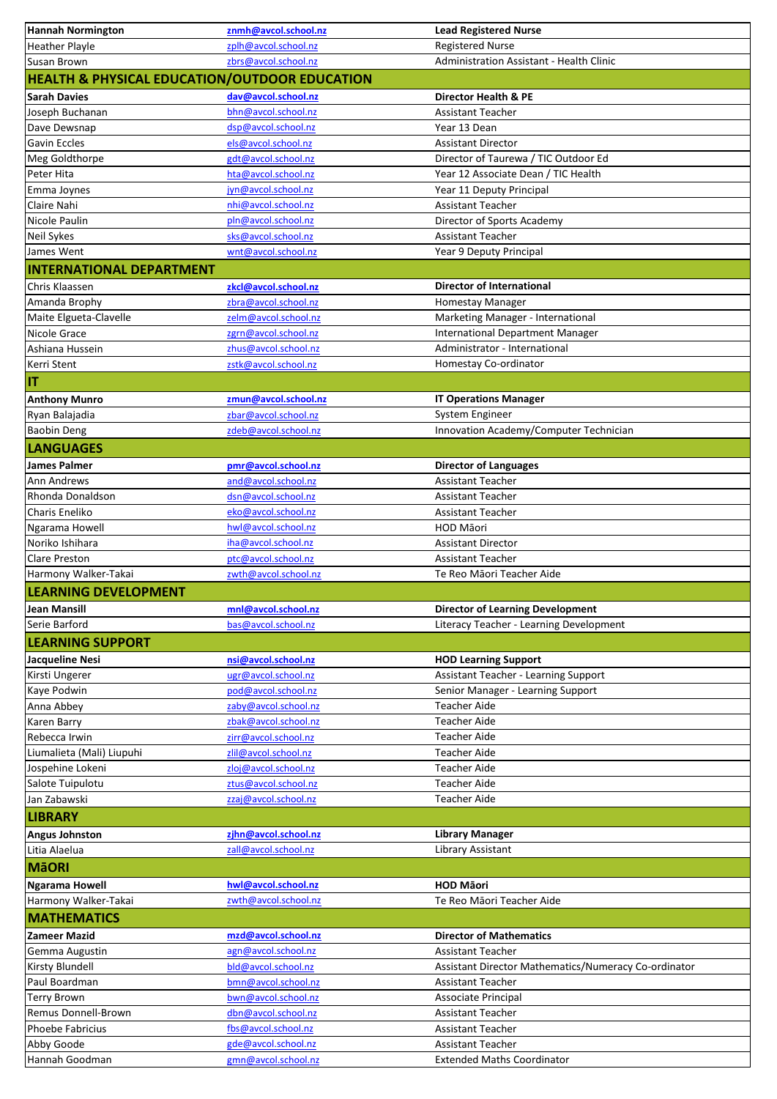| <b>Hannah Normington</b>                                 | znmh@avcol.school.nz       | <b>Lead Registered Nurse</b>                         |
|----------------------------------------------------------|----------------------------|------------------------------------------------------|
| <b>Heather Playle</b>                                    | zplh@avcol.school.nz       | <b>Registered Nurse</b>                              |
| Susan Brown                                              | zbrs@avcol.school.nz       | Administration Assistant - Health Clinic             |
| <b>HEALTH &amp; PHYSICAL EDUCATION/OUTDOOR EDUCATION</b> |                            |                                                      |
| <b>Sarah Davies</b>                                      | dav@avcol.school.nz        | <b>Director Health &amp; PE</b>                      |
| Joseph Buchanan                                          | bhn@avcol.school.nz        | <b>Assistant Teacher</b>                             |
| Dave Dewsnap                                             | dsp@avcol.school.nz        | Year 13 Dean                                         |
| Gavin Eccles                                             | els@avcol.school.nz        | <b>Assistant Director</b>                            |
| Meg Goldthorpe                                           | gdt@avcol.school.nz        | Director of Taurewa / TIC Outdoor Ed                 |
| Peter Hita                                               | hta@avcol.school.nz        | Year 12 Associate Dean / TIC Health                  |
| Emma Joynes                                              | jyn@avcol.school.nz        | Year 11 Deputy Principal                             |
| Claire Nahi                                              | nhi@avcol.school.nz        | <b>Assistant Teacher</b>                             |
| Nicole Paulin                                            | pln@avcol.school.nz        | Director of Sports Academy                           |
| <b>Neil Sykes</b>                                        | sks@avcol.school.nz        | <b>Assistant Teacher</b>                             |
| James Went                                               | wnt@avcol.school.nz        | Year 9 Deputy Principal                              |
| <b>INTERNATIONAL DEPARTMENT</b>                          |                            |                                                      |
| Chris Klaassen                                           | zkcl@avcol.school.nz       | <b>Director of International</b>                     |
| Amanda Brophy                                            | zbra@avcol.school.nz       | Homestay Manager                                     |
| Maite Elgueta-Clavelle                                   | zelm@avcol.school.nz       | Marketing Manager - International                    |
| Nicole Grace                                             | zgrn@avcol.school.nz       | <b>International Department Manager</b>              |
| Ashiana Hussein                                          | zhus@avcol.school.nz       | Administrator - International                        |
| Kerri Stent                                              | zstk@avcol.school.nz       | Homestay Co-ordinator                                |
|                                                          |                            |                                                      |
| IT                                                       |                            |                                                      |
| <b>Anthony Munro</b>                                     | zmun@avcol.school.nz       | <b>IT Operations Manager</b>                         |
| Ryan Balajadia                                           | zbar@avcol.school.nz       | System Engineer                                      |
| <b>Baobin Deng</b>                                       | zdeb@avcol.school.nz       | Innovation Academy/Computer Technician               |
| <b>LANGUAGES</b>                                         |                            |                                                      |
| <b>James Palmer</b>                                      | pmr@avcol.school.nz        | <b>Director of Languages</b>                         |
| Ann Andrews                                              | and@avcol.school.nz        | <b>Assistant Teacher</b>                             |
| Rhonda Donaldson                                         | dsn@avcol.school.nz        | Assistant Teacher                                    |
| Charis Eneliko                                           | eko@avcol.school.nz        | <b>Assistant Teacher</b>                             |
| Ngarama Howell                                           | hwl@avcol.school.nz        | HOD Māori                                            |
| Noriko Ishihara                                          | iha@avcol.school.nz        | <b>Assistant Director</b>                            |
| <b>Clare Preston</b>                                     | ptc@avcol.school.nz        | <b>Assistant Teacher</b>                             |
| Harmony Walker-Takai                                     | zwth@avcol.school.nz       | Te Reo Māori Teacher Aide                            |
| <b>LEARNING DEVELOPMENT</b>                              |                            |                                                      |
| Jean Mansill                                             | <u>mnl@avcol.school.nz</u> | Director of Learning Development                     |
| Serie Barford                                            | bas@avcol.school.nz        | Literacy Teacher - Learning Development              |
| <b>LEARNING SUPPORT</b>                                  |                            |                                                      |
| Jacqueline Nesi                                          | nsi@avcol.school.nz        | <b>HOD Learning Support</b>                          |
| Kirsti Ungerer                                           | ugr@avcol.school.nz        | <b>Assistant Teacher - Learning Support</b>          |
| Kaye Podwin                                              | pod@avcol.school.nz        | Senior Manager - Learning Support                    |
| Anna Abbey                                               | zaby@avcol.school.nz       | <b>Teacher Aide</b>                                  |
| Karen Barry                                              | zbak@avcol.school.nz       | <b>Teacher Aide</b>                                  |
| Rebecca Irwin                                            | zirr@avcol.school.nz       | <b>Teacher Aide</b>                                  |
| Liumalieta (Mali) Liupuhi                                | zlil@avcol.school.nz       | <b>Teacher Aide</b>                                  |
| Jospehine Lokeni                                         | zloj@avcol.school.nz       | <b>Teacher Aide</b>                                  |
| Salote Tuipulotu                                         | ztus@avcol.school.nz       | <b>Teacher Aide</b>                                  |
| Jan Zabawski                                             | zzaj@avcol.school.nz       | <b>Teacher Aide</b>                                  |
| <b>LIBRARY</b>                                           |                            |                                                      |
| <b>Angus Johnston</b>                                    | zjhn@avcol.school.nz       | <b>Library Manager</b>                               |
| Litia Alaelua                                            | zall@avcol.school.nz       | Library Assistant                                    |
|                                                          |                            |                                                      |
| MãORI                                                    |                            |                                                      |
| <b>Ngarama Howell</b>                                    | hwl@avcol.school.nz        | <b>HOD Māori</b>                                     |
| Harmony Walker-Takai                                     | zwth@avcol.school.nz       | Te Reo Māori Teacher Aide                            |
| <b>MATHEMATICS</b>                                       |                            |                                                      |
| <b>Zameer Mazid</b>                                      | mzd@avcol.school.nz        | <b>Director of Mathematics</b>                       |
| Gemma Augustin                                           | agn@avcol.school.nz        | <b>Assistant Teacher</b>                             |
| Kirsty Blundell                                          | bld@avcol.school.nz        | Assistant Director Mathematics/Numeracy Co-ordinator |
| Paul Boardman                                            | bmn@avcol.school.nz        | Assistant Teacher                                    |
| <b>Terry Brown</b>                                       | bwn@avcol.school.nz        | Associate Principal                                  |
| Remus Donnell-Brown                                      | dbn@avcol.school.nz        | Assistant Teacher                                    |
| <b>Phoebe Fabricius</b>                                  | fbs@avcol.school.nz        | <b>Assistant Teacher</b>                             |
| Abby Goode                                               | gde@avcol.school.nz        | Assistant Teacher                                    |
| Hannah Goodman                                           | gmn@avcol.school.nz        | <b>Extended Maths Coordinator</b>                    |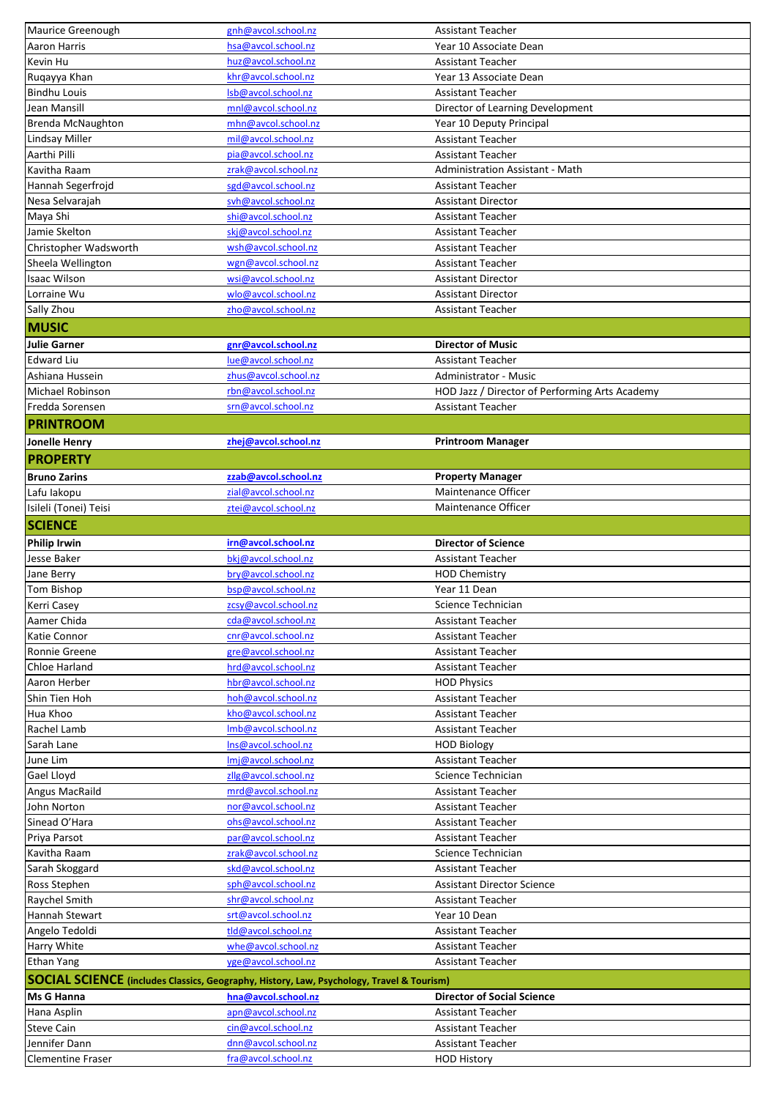| Maurice Greenough        | gnh@avcol.school.nz                                                                       | <b>Assistant Teacher</b>                       |
|--------------------------|-------------------------------------------------------------------------------------------|------------------------------------------------|
| <b>Aaron Harris</b>      | hsa@avcol.school.nz                                                                       | Year 10 Associate Dean                         |
| Kevin Hu                 | huz@avcol.school.nz                                                                       | Assistant Teacher                              |
| Ruqayya Khan             | khr@avcol.school.nz                                                                       | Year 13 Associate Dean                         |
| <b>Bindhu Louis</b>      | Isb@avcol.school.nz                                                                       | <b>Assistant Teacher</b>                       |
| Jean Mansill             | mnl@aycol.school.nz                                                                       | Director of Learning Development               |
| <b>Brenda McNaughton</b> | mhn@avcol.school.nz                                                                       | Year 10 Deputy Principal                       |
| Lindsay Miller           | mil@avcol.school.nz                                                                       | <b>Assistant Teacher</b>                       |
| Aarthi Pilli             | pia@avcol.school.nz                                                                       | Assistant Teacher                              |
| Kavitha Raam             | zrak@avcol.school.nz                                                                      | <b>Administration Assistant - Math</b>         |
| Hannah Segerfrojd        | sgd@avcol.school.nz                                                                       | Assistant Teacher                              |
| Nesa Selvarajah          | svh@avcol.school.nz                                                                       | <b>Assistant Director</b>                      |
| Maya Shi                 | shi@avcol.school.nz                                                                       | <b>Assistant Teacher</b>                       |
| Jamie Skelton            | skj@avcol.school.nz                                                                       | <b>Assistant Teacher</b>                       |
| Christopher Wadsworth    | wsh@avcol.school.nz                                                                       | <b>Assistant Teacher</b>                       |
| Sheela Wellington        | wgn@avcol.school.nz                                                                       | <b>Assistant Teacher</b>                       |
| Isaac Wilson             | wsi@avcol.school.nz                                                                       | <b>Assistant Director</b>                      |
| Lorraine Wu              | wlo@avcol.school.nz                                                                       | <b>Assistant Director</b>                      |
| Sally Zhou               | zho@avcol.school.nz                                                                       | Assistant Teacher                              |
|                          |                                                                                           |                                                |
| <b>MUSIC</b>             |                                                                                           |                                                |
| <b>Julie Garner</b>      | gnr@avcol.school.nz                                                                       | <b>Director of Music</b>                       |
| <b>Edward Liu</b>        | lue@avcol.school.nz                                                                       | Assistant Teacher                              |
| Ashiana Hussein          | zhus@avcol.school.nz                                                                      | <b>Administrator - Music</b>                   |
| Michael Robinson         | rbn@avcol.school.nz                                                                       | HOD Jazz / Director of Performing Arts Academy |
| Fredda Sorensen          | srn@avcol.school.nz                                                                       | <b>Assistant Teacher</b>                       |
| <b>PRINTROOM</b>         |                                                                                           |                                                |
| Jonelle Henry            | zhej@avcol.school.nz                                                                      | <b>Printroom Manager</b>                       |
| <b>PROPERTY</b>          |                                                                                           |                                                |
| <b>Bruno Zarins</b>      | zzab@avcol.school.nz                                                                      | <b>Property Manager</b>                        |
| Lafu lakopu              | zial@avcol.school.nz                                                                      | <b>Maintenance Officer</b>                     |
|                          |                                                                                           | <b>Maintenance Officer</b>                     |
| Isileli (Tonei) Teisi    | ztei@avcol.school.nz                                                                      |                                                |
| <b>SCIENCE</b>           |                                                                                           |                                                |
| <b>Philip Irwin</b>      | irn@avcol.school.nz                                                                       | <b>Director of Science</b>                     |
| Jesse Baker              | bkj@avcol.school.nz                                                                       | <b>Assistant Teacher</b>                       |
| Jane Berry               | bry@avcol.school.nz                                                                       | <b>HOD Chemistry</b>                           |
| Tom Bishop               | bsp@avcol.school.nz                                                                       |                                                |
|                          |                                                                                           | Year 11 Dean                                   |
| Kerri Casey              | zcsy@aycol.school.nz                                                                      | Science Technician                             |
| Aamer Chida              | cda@avcol.school.nz                                                                       | <b>Assistant Teacher</b>                       |
| Katie Connor             | cnr@avcol.school.nz                                                                       | Assistant Teacher                              |
| Ronnie Greene            | gre@avcol.school.nz                                                                       | Assistant Teacher                              |
| Chloe Harland            | hrd@avcol.school.nz                                                                       | <b>Assistant Teacher</b>                       |
| Aaron Herber             | hbr@avcol.school.nz                                                                       | <b>HOD Physics</b>                             |
| Shin Tien Hoh            | hoh@avcol.school.nz                                                                       | Assistant Teacher                              |
| Hua Khoo                 | kho@avcol.school.nz                                                                       | Assistant Teacher                              |
| Rachel Lamb              | Imb@avcol.school.nz                                                                       | Assistant Teacher                              |
| Sarah Lane               | Ins@avcol.school.nz                                                                       |                                                |
|                          | Imj@avcol.school.nz                                                                       | <b>HOD Biology</b><br><b>Assistant Teacher</b> |
| June Lim                 | zllg@avcol.school.nz                                                                      | Science Technician                             |
| Gael Lloyd               |                                                                                           |                                                |
| <b>Angus MacRaild</b>    | mrd@avcol.school.nz                                                                       | Assistant Teacher                              |
| John Norton              | nor@avcol.school.nz                                                                       | Assistant Teacher                              |
| Sinead O'Hara            | ohs@avcol.school.nz                                                                       | Assistant Teacher                              |
| Priya Parsot             | par@avcol.school.nz                                                                       | Assistant Teacher                              |
| Kavitha Raam             | zrak@avcol.school.nz                                                                      | Science Technician                             |
| Sarah Skoggard           | skd@avcol.school.nz                                                                       | Assistant Teacher                              |
| Ross Stephen             | sph@avcol.school.nz                                                                       | <b>Assistant Director Science</b>              |
| Raychel Smith            | shr@avcol.school.nz                                                                       | Assistant Teacher                              |
| Hannah Stewart           | srt@avcol.school.nz                                                                       | Year 10 Dean                                   |
| Angelo Tedoldi           | tld@avcol.school.nz                                                                       | Assistant Teacher                              |
| Harry White              | whe@avcol.school.nz                                                                       | Assistant Teacher                              |
| <b>Ethan Yang</b>        | yge@avcol.school.nz                                                                       | Assistant Teacher                              |
|                          | SOCIAL SCIENCE (includes Classics, Geography, History, Law, Psychology, Travel & Tourism) |                                                |
| Ms G Hanna               | hna@avcol.school.nz                                                                       | <b>Director of Social Science</b>              |
| Hana Asplin              | apn@avcol.school.nz                                                                       | <b>Assistant Teacher</b>                       |
| <b>Steve Cain</b>        | cin@avcol.school.nz                                                                       | <b>Assistant Teacher</b>                       |
| Jennifer Dann            | dnn@avcol.school.nz                                                                       | <b>Assistant Teacher</b>                       |